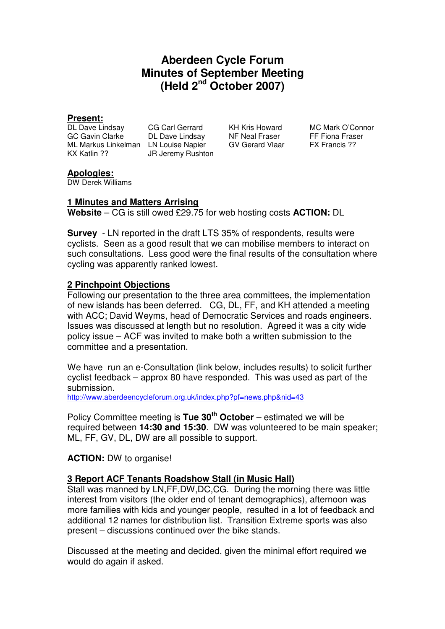# **Aberdeen Cycle Forum Minutes of September Meeting (Held 2nd October 2007)**

**Present:**  GC Gavin Clarke DL Dave Lindsay NF Neal Fraser FF Fiona Fraser ML Markus Linkelman LN Louise Napier GV Gerard Vlaar FX Francis ?? KX Katlin ?? JR Jeremy Rushton

CG Carl Gerrard KH Kris Howard MC Mark O'Connor

#### **Apologies:**

DW Derek Williams

### **1 Minutes and Matters Arrising**

**Website** – CG is still owed £29.75 for web hosting costs **ACTION:** DL

**Survey** - LN reported in the draft LTS 35% of respondents, results were cyclists. Seen as a good result that we can mobilise members to interact on such consultations. Less good were the final results of the consultation where cycling was apparently ranked lowest.

### **2 Pinchpoint Objections**

Following our presentation to the three area committees, the implementation of new islands has been deferred. CG, DL, FF, and KH attended a meeting with ACC; David Weyms, head of Democratic Services and roads engineers. Issues was discussed at length but no resolution. Agreed it was a city wide policy issue – ACF was invited to make both a written submission to the committee and a presentation.

We have run an e-Consultation (link below, includes results) to solicit further cyclist feedback – approx 80 have responded. This was used as part of the submission.

http://www.aberdeencycleforum.org.uk/index.php?pf=news.php&nid=43

Policy Committee meeting is **Tue 30th October** – estimated we will be required between **14:30 and 15:30**. DW was volunteered to be main speaker; ML, FF, GV, DL, DW are all possible to support.

#### **ACTION:** DW to organise!

#### **3 Report ACF Tenants Roadshow Stall (in Music Hall)**

Stall was manned by LN,FF,DW,DC,CG. During the morning there was little interest from visitors (the older end of tenant demographics), afternoon was more families with kids and younger people, resulted in a lot of feedback and additional 12 names for distribution list. Transition Extreme sports was also present – discussions continued over the bike stands.

Discussed at the meeting and decided, given the minimal effort required we would do again if asked.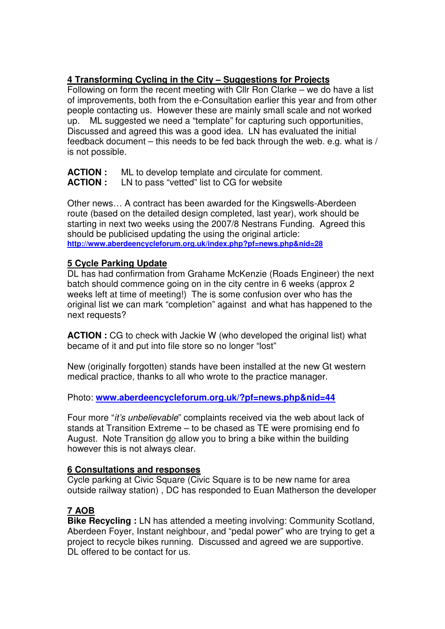## **4 Transforming Cycling in the City – Suggestions for Projects**

Following on form the recent meeting with Cllr Ron Clarke – we do have a list of improvements, both from the e-Consultation earlier this year and from other people contacting us. However these are mainly small scale and not worked up. ML suggested we need a "template" for capturing such opportunities, Discussed and agreed this was a good idea. LN has evaluated the initial feedback document – this needs to be fed back through the web. e.g. what is / is not possible.

**ACTION :** ML to develop template and circulate for comment.

**ACTION :** LN to pass "vetted" list to CG for website

Other news… A contract has been awarded for the Kingswells-Aberdeen route (based on the detailed design completed, last year), work should be starting in next two weeks using the 2007/8 Nestrans Funding. Agreed this should be publicised updating the using the original article: **http://www.aberdeencycleforum.org.uk/index.php?pf=news.php&nid=28**

# **5 Cycle Parking Update**

DL has had confirmation from Grahame McKenzie (Roads Engineer) the next batch should commence going on in the city centre in 6 weeks (approx 2 weeks left at time of meeting!) The is some confusion over who has the original list we can mark "completion" against and what has happened to the next requests?

**ACTION :** CG to check with Jackie W (who developed the original list) what became of it and put into file store so no longer "lost"

New (originally forgotten) stands have been installed at the new Gt western medical practice, thanks to all who wrote to the practice manager.

Photo: **www.aberdeencycleforum.org.uk/?pf=news.php&nid=44**

Four more "it's unbelievable" complaints received via the web about lack of stands at Transition Extreme – to be chased as TE were promising end fo August. Note Transition do allow you to bring a bike within the building however this is not always clear.

## **6 Consultations and responses**

Cycle parking at Civic Square (Civic Square is to be new name for area outside railway station) , DC has responded to Euan Matherson the developer

# **7 AOB**

**Bike Recycling :** LN has attended a meeting involving: Community Scotland, Aberdeen Foyer, Instant neighbour, and "pedal power" who are trying to get a project to recycle bikes running. Discussed and agreed we are supportive. DI offered to be contact for us.